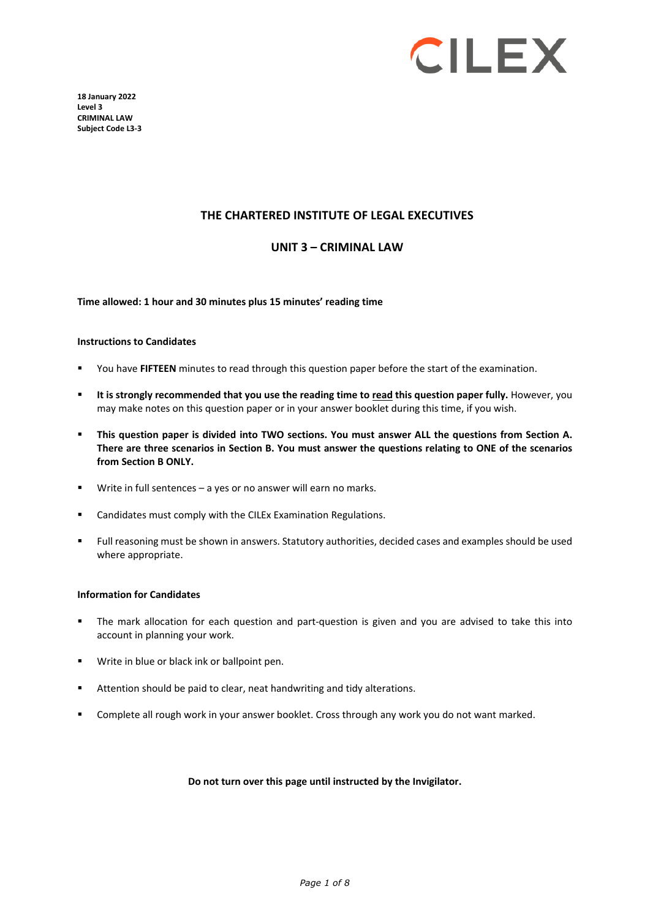

**18 January 2022 Level 3 CRIMINAL LAW Subject Code L3-3** 

## **THE CHARTERED INSTITUTE OF LEGAL EXECUTIVES**

## **UNIT 3 – CRIMINAL LAW**

**Time allowed: 1 hour and 30 minutes plus 15 minutes' reading time**

#### **Instructions to Candidates**

- You have **FIFTEEN** minutes to read through this question paper before the start of the examination.
- **It is strongly recommended that you use the reading time to read this question paper fully.** However, you may make notes on this question paper or in your answer booklet during this time, if you wish.
- **This question paper is divided into TWO sections. You must answer ALL the questions from Section A. There are three scenarios in Section B. You must answer the questions relating to ONE of the scenarios from Section B ONLY.**
- Write in full sentences a yes or no answer will earn no marks.
- Candidates must comply with the CILEx Examination Regulations.
- Full reasoning must be shown in answers. Statutory authorities, decided cases and examples should be used where appropriate.

#### **Information for Candidates**

- The mark allocation for each question and part-question is given and you are advised to take this into account in planning your work.
- Write in blue or black ink or ballpoint pen.
- Attention should be paid to clear, neat handwriting and tidy alterations.
- **EXP** Complete all rough work in your answer booklet. Cross through any work you do not want marked.

#### **Do not turn over this page until instructed by the Invigilator.**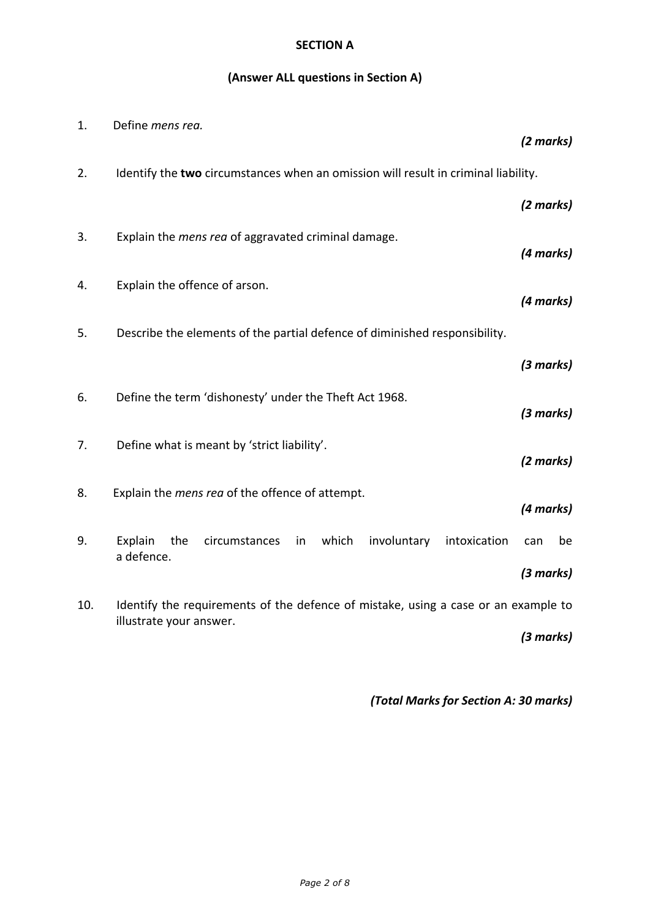# **SECTION A**

# **(Answer ALL questions in Section A)**

| 1.  | Define mens rea.                                                                                              | (2 marks) |
|-----|---------------------------------------------------------------------------------------------------------------|-----------|
| 2.  | Identify the two circumstances when an omission will result in criminal liability.                            |           |
|     |                                                                                                               | (2 marks) |
| 3.  | Explain the <i>mens rea</i> of aggravated criminal damage.                                                    | (4 marks) |
| 4.  | Explain the offence of arson.                                                                                 | (4 marks) |
| 5.  | Describe the elements of the partial defence of diminished responsibility.                                    |           |
|     |                                                                                                               | (3 marks) |
| 6.  | Define the term 'dishonesty' under the Theft Act 1968.                                                        | (3 marks) |
| 7.  | Define what is meant by 'strict liability'.                                                                   | (2 marks) |
| 8.  | Explain the <i>mens rea</i> of the offence of attempt.                                                        | (4 marks) |
| 9.  | Explain<br>which<br>involuntary<br>the<br>circumstances<br>intoxication<br>in<br>a defence.                   | be<br>can |
|     |                                                                                                               | (3 marks) |
| 10. | Identify the requirements of the defence of mistake, using a case or an example to<br>illustrate your answer. |           |
|     |                                                                                                               | (3 marks) |

*(Total Marks for Section A: 30 marks)*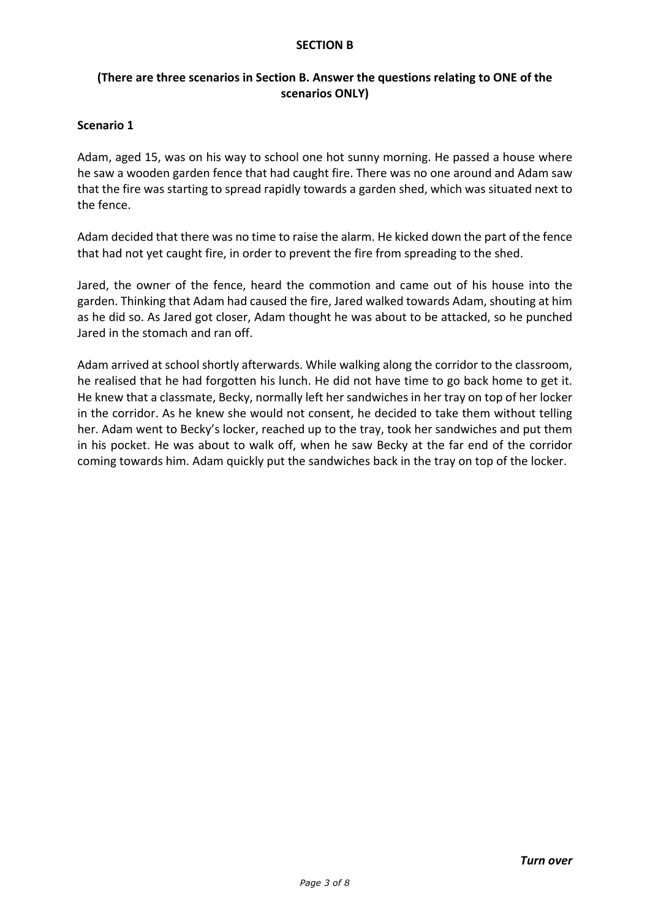### **SECTION B**

## **(There are three scenarios in Section B. Answer the questions relating to ONE of the scenarios ONLY)**

## **Scenario 1**

Adam, aged 15, was on his way to school one hot sunny morning. He passed a house where he saw a wooden garden fence that had caught fire. There was no one around and Adam saw that the fire was starting to spread rapidly towards a garden shed, which was situated next to the fence.

Adam decided that there was no time to raise the alarm. He kicked down the part of the fence that had not yet caught fire, in order to prevent the fire from spreading to the shed.

Jared, the owner of the fence, heard the commotion and came out of his house into the garden. Thinking that Adam had caused the fire, Jared walked towards Adam, shouting at him as he did so. As Jared got closer, Adam thought he was about to be attacked, so he punched Jared in the stomach and ran off.

Adam arrived at school shortly afterwards. While walking along the corridor to the classroom, he realised that he had forgotten his lunch. He did not have time to go back home to get it. He knew that a classmate, Becky, normally left her sandwiches in her tray on top of her locker in the corridor. As he knew she would not consent, he decided to take them without telling her. Adam went to Becky's locker, reached up to the tray, took her sandwiches and put them in his pocket. He was about to walk off, when he saw Becky at the far end of the corridor coming towards him. Adam quickly put the sandwiches back in the tray on top of the locker.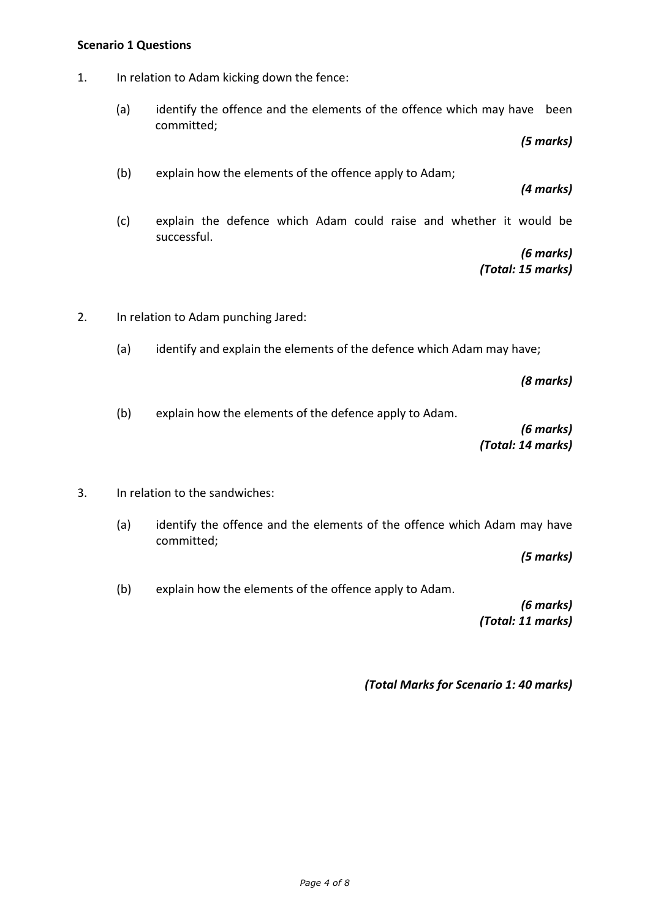## **Scenario 1 Questions**

- 1. In relation to Adam kicking down the fence:
	- (a) identify the offence and the elements of the offence which may have been committed;

*(5 marks)*

(b) explain how the elements of the offence apply to Adam;

*(4 marks)*

(c) explain the defence which Adam could raise and whether it would be successful.

> *(6 marks) (Total: 15 marks)*

- 2. In relation to Adam punching Jared:
	- (a) identify and explain the elements of the defence which Adam may have;

*(8 marks)*

(b) explain how the elements of the defence apply to Adam.

*(6 marks) (Total: 14 marks)*

- 3. In relation to the sandwiches:
	- (a) identify the offence and the elements of the offence which Adam may have committed;

*(5 marks)*

(b) explain how the elements of the offence apply to Adam.

 *(6 marks) (Total: 11 marks)*

*(Total Marks for Scenario 1: 40 marks)*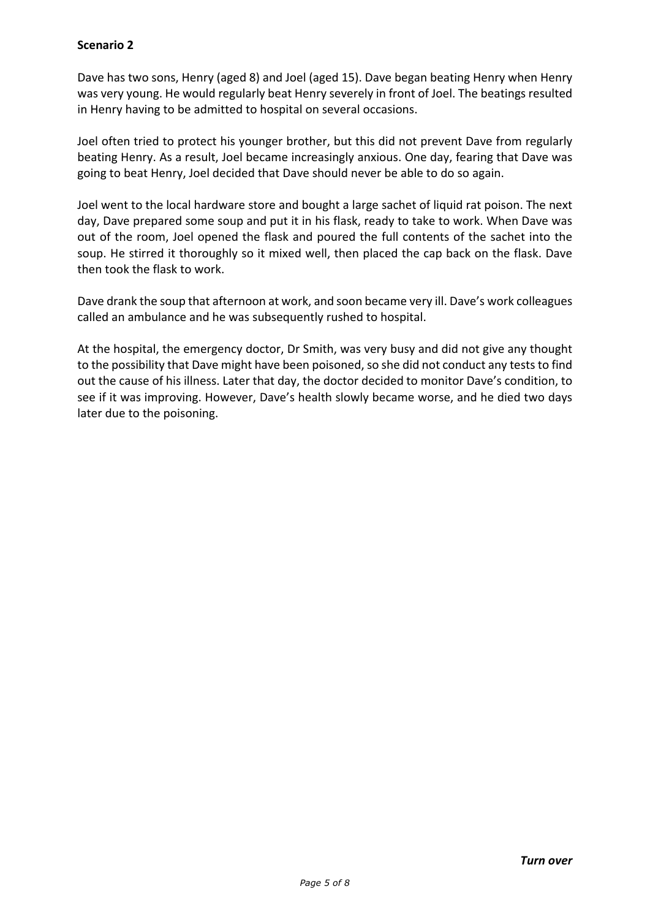## **Scenario 2**

Dave has two sons, Henry (aged 8) and Joel (aged 15). Dave began beating Henry when Henry was very young. He would regularly beat Henry severely in front of Joel. The beatings resulted in Henry having to be admitted to hospital on several occasions.

Joel often tried to protect his younger brother, but this did not prevent Dave from regularly beating Henry. As a result, Joel became increasingly anxious. One day, fearing that Dave was going to beat Henry, Joel decided that Dave should never be able to do so again.

Joel went to the local hardware store and bought a large sachet of liquid rat poison. The next day, Dave prepared some soup and put it in his flask, ready to take to work. When Dave was out of the room, Joel opened the flask and poured the full contents of the sachet into the soup. He stirred it thoroughly so it mixed well, then placed the cap back on the flask. Dave then took the flask to work.

Dave drank the soup that afternoon at work, and soon became very ill. Dave's work colleagues called an ambulance and he was subsequently rushed to hospital.

At the hospital, the emergency doctor, Dr Smith, was very busy and did not give any thought to the possibility that Dave might have been poisoned, so she did not conduct any tests to find out the cause of his illness. Later that day, the doctor decided to monitor Dave's condition, to see if it was improving. However, Dave's health slowly became worse, and he died two days later due to the poisoning.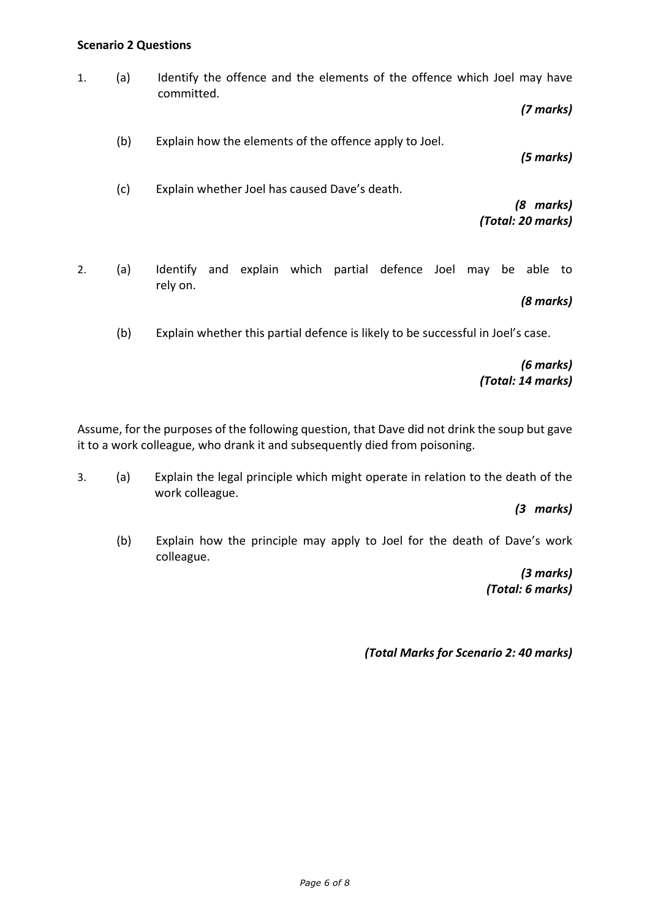## **Scenario 2 Questions**

1. (a) Identify the offence and the elements of the offence which Joel may have committed. *(7 marks)* (b) Explain how the elements of the offence apply to Joel. *(5 marks)* (c) Explain whether Joel has caused Dave's death. *(8 marks) (Total: 20 marks)* 2. (a) Identify and explain which partial defence Joel may be able to rely on. *(8 marks)* (b) Explain whether this partial defence is likely to be successful in Joel's case.

> *(6 marks) (Total: 14 marks)*

Assume, for the purposes of the following question, that Dave did not drink the soup but gave it to a work colleague, who drank it and subsequently died from poisoning.

3. (a) Explain the legal principle which might operate in relation to the death of the work colleague.

*(3 marks)*

(b) Explain how the principle may apply to Joel for the death of Dave's work colleague.

> *(3 marks) (Total: 6 marks)*

*(Total Marks for Scenario 2: 40 marks)*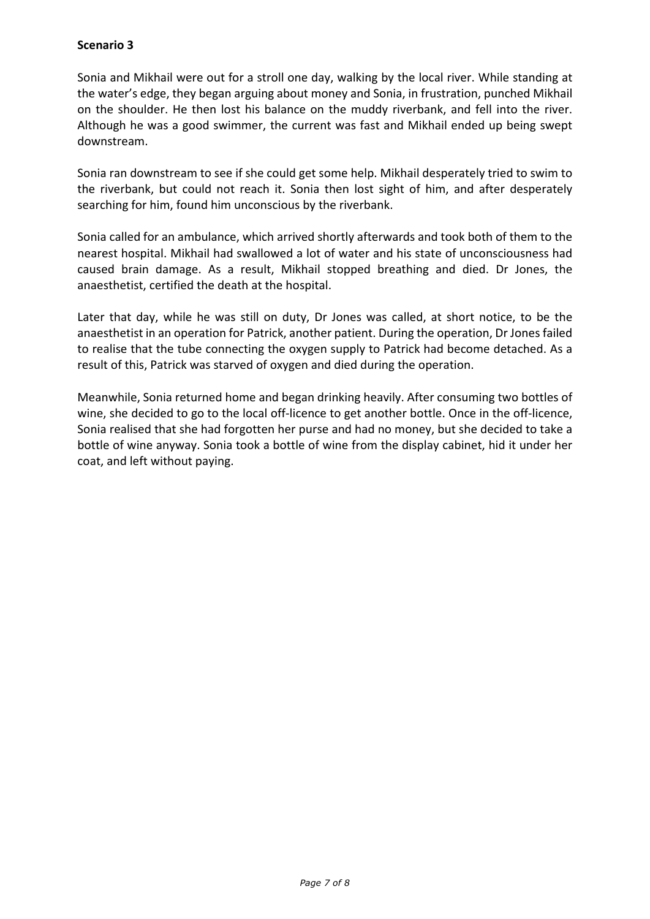## **Scenario 3**

Sonia and Mikhail were out for a stroll one day, walking by the local river. While standing at the water's edge, they began arguing about money and Sonia, in frustration, punched Mikhail on the shoulder. He then lost his balance on the muddy riverbank, and fell into the river. Although he was a good swimmer, the current was fast and Mikhail ended up being swept downstream.

Sonia ran downstream to see if she could get some help. Mikhail desperately tried to swim to the riverbank, but could not reach it. Sonia then lost sight of him, and after desperately searching for him, found him unconscious by the riverbank.

Sonia called for an ambulance, which arrived shortly afterwards and took both of them to the nearest hospital. Mikhail had swallowed a lot of water and his state of unconsciousness had caused brain damage. As a result, Mikhail stopped breathing and died. Dr Jones, the anaesthetist, certified the death at the hospital.

Later that day, while he was still on duty, Dr Jones was called, at short notice, to be the anaesthetist in an operation for Patrick, another patient. During the operation, Dr Jones failed to realise that the tube connecting the oxygen supply to Patrick had become detached. As a result of this, Patrick was starved of oxygen and died during the operation.

Meanwhile, Sonia returned home and began drinking heavily. After consuming two bottles of wine, she decided to go to the local off-licence to get another bottle. Once in the off-licence, Sonia realised that she had forgotten her purse and had no money, but she decided to take a bottle of wine anyway. Sonia took a bottle of wine from the display cabinet, hid it under her coat, and left without paying.